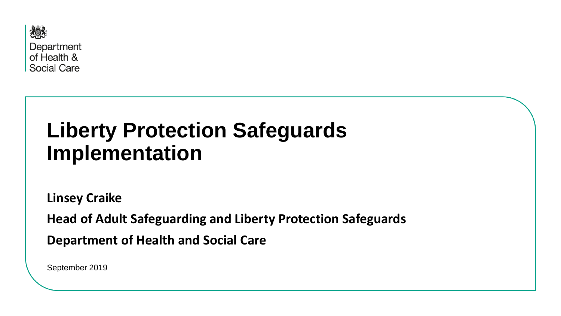

# **Liberty Protection Safeguards Implementation**

**Linsey Craike**

**Head of Adult Safeguarding and Liberty Protection Safeguards**

**Department of Health and Social Care**

September 2019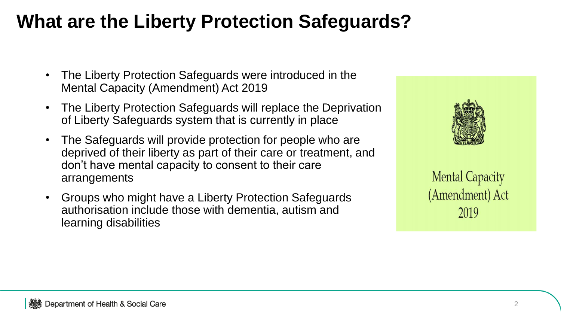## **What are the Liberty Protection Safeguards?**

- The Liberty Protection Safeguards were introduced in the Mental Capacity (Amendment) Act 2019
- The Liberty Protection Safeguards will replace the Deprivation of Liberty Safeguards system that is currently in place
- The Safeguards will provide protection for people who are deprived of their liberty as part of their care or treatment, and don't have mental capacity to consent to their care arrangements
- Groups who might have a Liberty Protection Safeguards authorisation include those with dementia, autism and learning disabilities



**Mental Capacity** (Amendment) Act 2019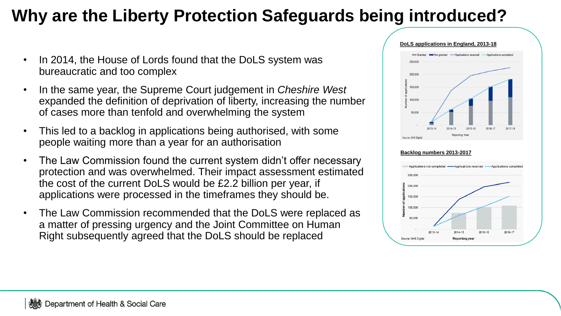### **Why are the Liberty Protection Safeguards being introduced?**

- In 2014, the House of Lords found that the DoLS system was bureaucratic and too complex
- In the same year, the Supreme Court judgement in *Cheshire West*  expanded the definition of deprivation of liberty, increasing the number of cases more than tenfold and overwhelming the system
- This led to a backlog in applications being authorised, with some people waiting more than a year for an authorisation
- The Law Commission found the current system didn't offer necessary protection and was overwhelmed. Their impact assessment estimated the cost of the current DoLS would be £2.2 billion per year, if applications were processed in the timeframes they should be.
- The Law Commission recommended that the DoLS were replaced as a matter of pressing urgency and the Joint Committee on Human Right subsequently agreed that the DoLS should be replaced



#### **Backlog numbers 2013-2017**

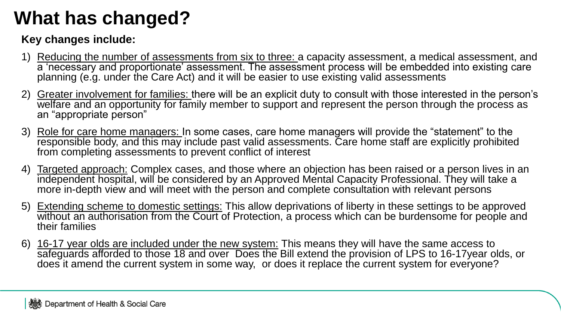# **What has changed?**

### **Key changes include:**

- 1) Reducing the number of assessments from six to three: a capacity assessment, a medical assessment, and a 'necessary and proportionate' assessment. The assessment process will be embedded into existing care planning (e.g. under the Care Act) and it will be easier to use existing valid assessments
- 2) Greater involvement for families: there will be an explicit duty to consult with those interested in the person's welfare and an opportunity for family member to support and represent the person through the process as an "appropriate person"
- 3) Role for care home managers: In some cases, care home managers will provide the "statement" to the responsible body, and this may include past valid assessments. Care home staff are explicitly prohibited from completing assessments to prevent conflict of interest
- 4) Targeted approach: Complex cases, and those where an objection has been raised or a person lives in an independent hospital, will be considered by an Approved Mental Capacity Professional. They will take a more in-depth view and will meet with the person and complete consultation with relevant persons
- 5) Extending scheme to domestic settings: This allow deprivations of liberty in these settings to be approved without an authorisation from the Court of Protection, a process which can be burdensome for people and their families
- 6) 16-17 year olds are included under the new system: This means they will have the same access to safeguards afforded to those 18 and over Does the Bill extend the provision of LPS to 16-17year olds, or does it amend the current system in some way, or does it replace the current system for everyone?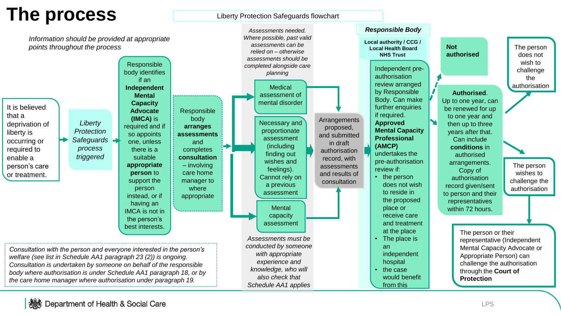### **The process**

Liberty Protection Safeguards flowchart

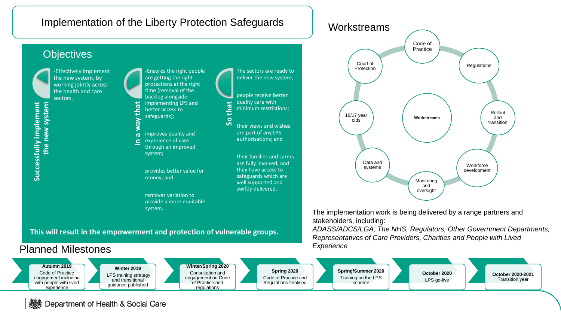

#### **This will result in the empowerment and protection of vulnerable groups.**

### Planned Milestones



The implementation work is being delivered by a range partners and stakeholders, including:

*ADASS/ADCS/LGA, The NHS, Regulators, Other Government Departments, Representatives of Care Providers, Charities and People with Lived Experience*



#### Department of Health & Social Care